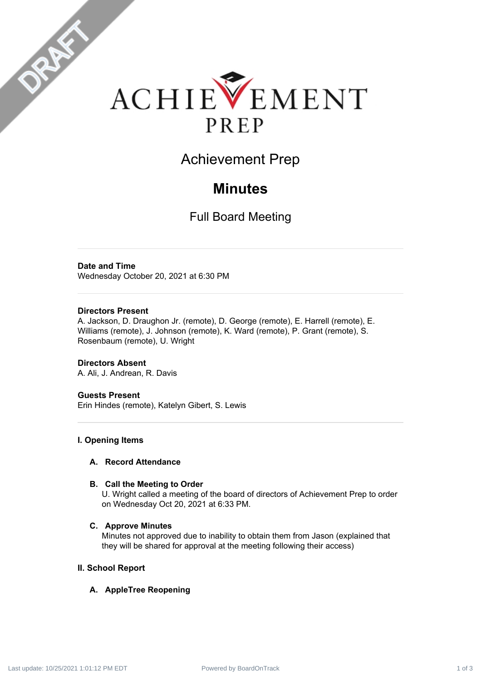

Achievement Prep

# **Minutes**

Full Board Meeting

### **Date and Time**

DRAFT

Wednesday October 20, 2021 at 6:30 PM

#### **Directors Present**

A. Jackson, D. Draughon Jr. (remote), D. George (remote), E. Harrell (remote), E. Williams (remote), J. Johnson (remote), K. Ward (remote), P. Grant (remote), S. Rosenbaum (remote), U. Wright

**Directors Absent** A. Ali, J. Andrean, R. Davis

#### **Guests Present**

Erin Hindes (remote), Katelyn Gibert, S. Lewis

#### **I. Opening Items**

#### **A. Record Attendance**

#### **B. Call the Meeting to Order**

U. Wright called a meeting of the board of directors of Achievement Prep to order on Wednesday Oct 20, 2021 at 6:33 PM.

#### **C. Approve Minutes**

Minutes not approved due to inability to obtain them from Jason (explained that they will be shared for approval at the meeting following their access)

#### **II. School Report**

#### **A. AppleTree Reopening**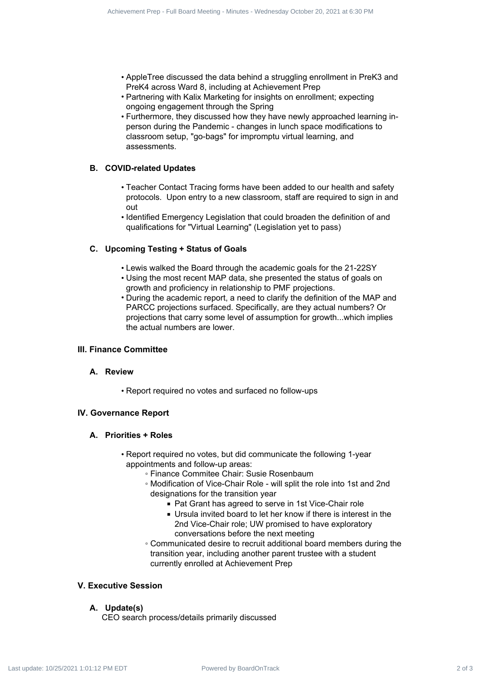- AppleTree discussed the data behind a struggling enrollment in PreK3 and PreK4 across Ward 8, including at Achievement Prep
- Partnering with Kalix Marketing for insights on enrollment; expecting ongoing engagement through the Spring
- Furthermore, they discussed how they have newly approached learning inperson during the Pandemic - changes in lunch space modifications to classroom setup, "go-bags" for impromptu virtual learning, and assessments.

#### **B. COVID-related Updates**

- Teacher Contact Tracing forms have been added to our health and safety protocols. Upon entry to a new classroom, staff are required to sign in and out
- Identified Emergency Legislation that could broaden the definition of and qualifications for "Virtual Learning" (Legislation yet to pass)

#### **C. Upcoming Testing + Status of Goals**

- Lewis walked the Board through the academic goals for the 21-22SY
- Using the most recent MAP data, she presented the status of goals on growth and proficiency in relationship to PMF projections.
- During the academic report, a need to clarify the definition of the MAP and PARCC projections surfaced. Specifically, are they actual numbers? Or projections that carry some level of assumption for growth...which implies the actual numbers are lower. We have the state of 1 of 3 Achievement Prep - Fundate Contract 2 of 3 Achievement Prep - Fundate State 2 of 2021 at 6:30 PM Last update: 1 October 20, 2021 at 6:30 PM Last update: 1 October 20, 2021 at 6:30 PM Last upd

#### **III. Finance Committee**

#### **A. Review**

• Report required no votes and surfaced no follow-ups

#### **IV. Governance Report**

#### **A. Priorities + Roles**

- Report required no votes, but did communicate the following 1-year appointments and follow-up areas:
	- Finance Commitee Chair: Susie Rosenbaum
	- Modification of Vice-Chair Role will split the role into 1st and 2nd designations for the transition year
		- Pat Grant has agreed to serve in 1st Vice-Chair role
		- Ursula invited board to let her know if there is interest in the 2nd Vice-Chair role; UW promised to have exploratory conversations before the next meeting
	- Communicated desire to recruit additional board members during the transition year, including another parent trustee with a student currently enrolled at Achievement Prep

#### **V. Executive Session**

#### **A. Update(s)**

CEO search process/details primarily discussed